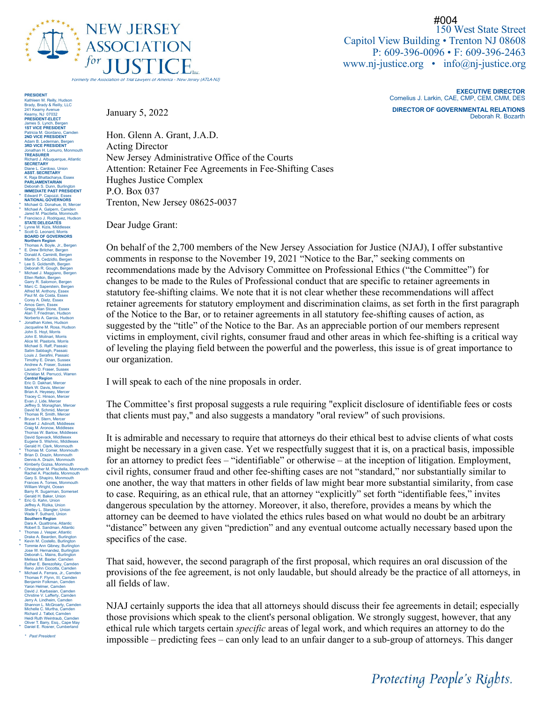

150 West State Street Capitol View Building • Trenton NJ 08608 P: 609-396-0096 • F: 609-396-2463 www.nj-justice.org • info@nj-justice.org #004

> **EXECUTIVE DIRECTOR** Cornelius J. Larkin, CAE, CMP, CEM, CMM, DES **DIRECTOR OF GOVERNMENTAL RELATIONS**

*Protecting People's Rights.* 

Deborah R. Bozarth

January 5, 2022

Hon. Glenn A. Grant, J.A.D. Acting Director New Jersey Administrative Office of the Courts Attention: Retainer Fee Agreements in Fee-Shifting Cases Hughes Justice Complex P.O. Box 037 Trenton, New Jersey 08625-0037

Dear Judge Grant:

On behalf of the 2,700 members of the New Jersey Association for Justice (NJAJ), I offer substantive comments in response to the November 19, 2021 "Notice to the Bar," seeking comments on recommendations made by the Advisory Committee on Professional Ethics ("the Committee") for changes to be made to the Rules of Professional conduct that are specific to retainer agreements in statutory fee-shifting claims. We note that it is not clear whether these recommendations will affect retainer agreements for statutory employment and discrimination claims, as set forth in the first paragraph of the Notice to the Bar, or to retainer agreements in all statutory fee-shifting causes of action, as suggested by the "title" of the Notice to the Bar. As an appreciable portion of our members represent victims in employment, civil rights, consumer fraud and other areas in which fee-shifting is a critical way of leveling the playing field between the powerful and the powerless, this issue is of great importance to our organization.

I will speak to each of the nine proposals in order.

The Committee's first proposal suggests a rule requiring "explicit disclosure of identifiable fees or costs that clients must pay," and also suggests a mandatory "oral review" of such provisions.

It is admirable and necessary to require that attorneys do their ethical best to advise clients of what costs might be necessary in a given case. Yet we respectfully suggest that it is, on a practical basis, impossible for an attorney to predict fees – "identifiable" or otherwise – at the inception of litigation. Employment, civil rights, consumer fraud and other fee-shifting cases are not "standard," nor substantially similar to one another, the way that matters in other fields of law might bear more substantial similarity, from case to case. Requiring, as an ethical rule, that an attorney "explicitly" set forth "identifiable fees," invites dangerous speculation by the attorney. Moreover, it also, therefore, provides a means by which the attorney can be deemed to have violated the ethics rules based on what would no doubt be an arbitrary "distance" between any given "prediction" and any eventual outcome actually necessary based upon the specifics of the case.

That said, however, the second paragraph of the first proposal, which requires an oral discussion of the provisions of the fee agreement, is not only laudable, but should already be the practice of all attorneys, in all fields of law.

NJAJ certainly supports the idea that all attorneys should discuss their fee agreements in detail; especially those provisions which speak to the client's personal obligation. We strongly suggest, however, that any ethical rule which targets certain *specific* areas of legal work, and which requires an attorney to do the impossible – predicting fees – can only lead to an unfair danger to a sub-group of attorneys. This danger

**PRESIDENT** Kathleen M. Reilly, Hudson Brady, Brady & Reilly, LLC 241 Kearny Avenue Kearny, NJ 07032 **PRESIDENT-ELECT** James S. Lynch, Bergen **1ST VICE PRESIDENT** Patricia M. Giordano, Camden **2ND VICE PRESIDENT** Adam B. Lederman, Bergen **3RD VICE PRESIDENT** Jonathan H. Lomurro, Monmouth **TREASURER** Richard J. Albuquerque, Atlantic **SECRETARY** Diane L. Cardoso, Union<br>**ASST. SECRETARY**<br>K. Raja Bhattacharya, Essex **PARLIAMENTARIAN** Deborah S. Dunn, Burlington **IMMEDIATE PAST PRESIDENT** \* Edward P. Capozzi, Essex **NATIONAL GOVERNORS** \* Michael G. Donahue, III, Mercer \* Michael A. Galpern, Camden Jared M. Placitella, Monmouth \* Francisco J. Rodriguez, Hudson **STATE DELEGATES** \* Lynne M. Kizis, Middlesex \* Scott G. Leonard, Morris **BOARD OF GOVERNORS Northern Region<br>
Thomas A. Boyle, Jr., Bergen<br>
E. Drew Britcher, Bergen<br>
\* Donald A. Caminiti, Bergen<br>
Martin S. Cedzidlo, Bergen** \* Lee S. Goldsmith, Bergen Deborah R. Gough, Bergen \* Michael J. Maggiano, Bergen Ellen Relkin, Bergen Garry R. Salomon, Bergen \* Marc C. Saperstein, Bergen<br>Marc C. Saperstein, Bergen<br>Paul M. da Costa, Essex<br>Paul M. da Costa, Essex<br>Amos Geny, Essex<br>Anan T. Friedman, Hudson<br>John F. Friedman, Hudson<br>John S. Hoyl, Morris<br>John S. Hoyl, Morris<br>Alcohn S. Brian A. Heyesey, Mercer Tracey C. Hinson, Mercer Evan J. Lide, Mercer Jeffrey S. Monaghan, Mercer David M. Schmid, Mercer Thomas R. Smith, Mercer \* Bruce H. Stern, Mercer<br>
F. Stern, Mercer<br>
Craig M. Avonow, Middlesex<br>
Craig M. Avonow, Middlesex<br>
David Spewack, Middlesex<br>
David Spewack, Middlesex<br>
Gerald H. Clark, Monmouth<br>
\* Friomas M. Comer, Monmouth<br>
\* Brian D. Dr Rachel A. Placitella, Monmouth<br>Gary S. Shapiro, Monmouth<br>Frances A. Toms, Monmouth<br>Trances A. Toms, Monmouth<br>Berry R. Sugarman, Somerset<br>Gerald H. Baker, Union<br>Effect G. Kahn, Union<br>Shelley L. Stanger, Union<br>Wade F. Suthra Thomas J. Vesper, Atlantic<br>Drake A. Bearden, Burlingtor Prake A. Bearden, Burlington<br>• Kevin M. Costello, Burlington<br>• Tormie Ann Gibney, Burlington<br>• Torme Ann Gibney, Burlington<br>• Deborah L. Mains, Burlington<br>• Deborah L. Mains, Burlington<br>• Esther E. Berezolsky, Camden<br>• Tho

Chrstine V. Lafferty, Camden Jerry A. Lindheim, Camden Shannon L. McGroarty, Camden Michelle C. Murtha, Camden Richard J. Talbot, Camden Heidi Ruth Weintraub, Camden Oliver T. Barry, Esq., Cape May \* Daniel E. Rosner, Cumberland

*\* Past President*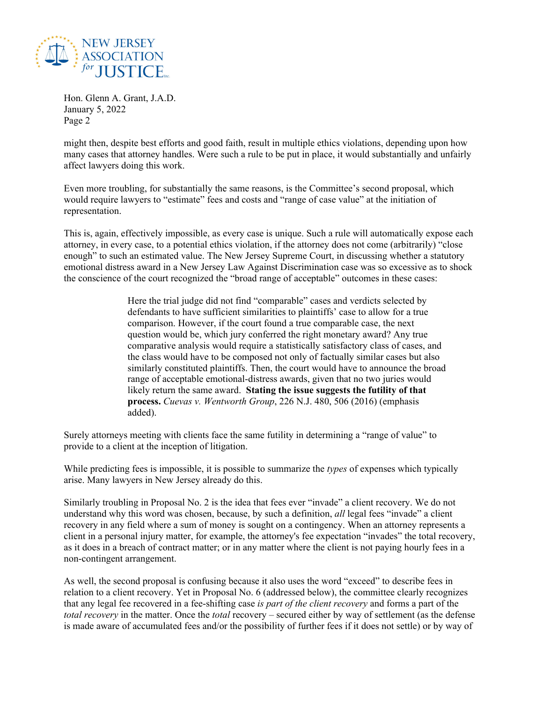

might then, despite best efforts and good faith, result in multiple ethics violations, depending upon how many cases that attorney handles. Were such a rule to be put in place, it would substantially and unfairly affect lawyers doing this work.

Even more troubling, for substantially the same reasons, is the Committee's second proposal, which would require lawyers to "estimate" fees and costs and "range of case value" at the initiation of representation.

This is, again, effectively impossible, as every case is unique. Such a rule will automatically expose each attorney, in every case, to a potential ethics violation, if the attorney does not come (arbitrarily) "close enough" to such an estimated value. The New Jersey Supreme Court, in discussing whether a statutory emotional distress award in a New Jersey Law Against Discrimination case was so excessive as to shock the conscience of the court recognized the "broad range of acceptable" outcomes in these cases:

> Here the trial judge did not find "comparable" cases and verdicts selected by defendants to have sufficient similarities to plaintiffs' case to allow for a true comparison. However, if the court found a true comparable case, the next question would be, which jury conferred the right monetary award? Any true comparative analysis would require a statistically satisfactory class of cases, and the class would have to be composed not only of factually similar cases but also similarly constituted plaintiffs. Then, the court would have to announce the broad range of acceptable emotional-distress awards, given that no two juries would likely return the same award. **Stating the issue suggests the futility of that process.** *Cuevas v. Wentworth Group*, 226 N.J. 480, 506 (2016) (emphasis added).

Surely attorneys meeting with clients face the same futility in determining a "range of value" to provide to a client at the inception of litigation.

While predicting fees is impossible, it is possible to summarize the *types* of expenses which typically arise. Many lawyers in New Jersey already do this.

Similarly troubling in Proposal No. 2 is the idea that fees ever "invade" a client recovery. We do not understand why this word was chosen, because, by such a definition, *all* legal fees "invade" a client recovery in any field where a sum of money is sought on a contingency. When an attorney represents a client in a personal injury matter, for example, the attorney's fee expectation "invades" the total recovery, as it does in a breach of contract matter; or in any matter where the client is not paying hourly fees in a non-contingent arrangement.

As well, the second proposal is confusing because it also uses the word "exceed" to describe fees in relation to a client recovery. Yet in Proposal No. 6 (addressed below), the committee clearly recognizes that any legal fee recovered in a fee-shifting case *is part of the client recovery* and forms a part of the *total recovery* in the matter. Once the *total* recovery – secured either by way of settlement (as the defense is made aware of accumulated fees and/or the possibility of further fees if it does not settle) or by way of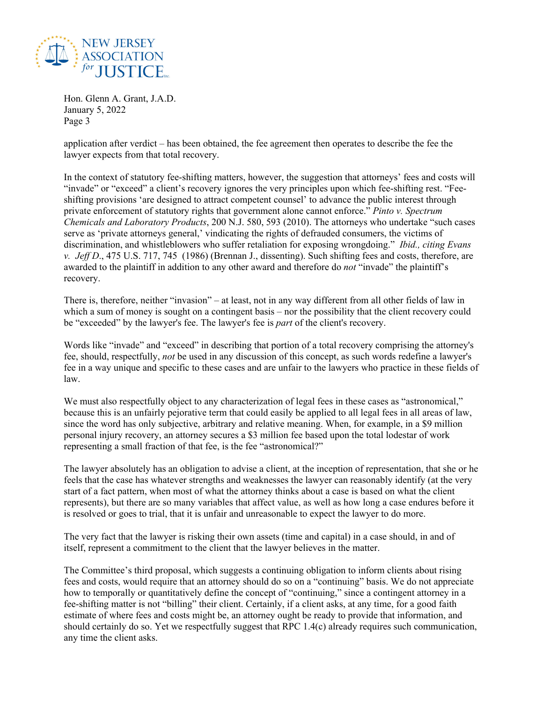

application after verdict – has been obtained, the fee agreement then operates to describe the fee the lawyer expects from that total recovery.

In the context of statutory fee-shifting matters, however, the suggestion that attorneys' fees and costs will "invade" or "exceed" a client's recovery ignores the very principles upon which fee-shifting rest. "Feeshifting provisions 'are designed to attract competent counsel' to advance the public interest through private enforcement of statutory rights that government alone cannot enforce." *Pinto v. Spectrum Chemicals and Laboratory Products*, 200 N.J. 580, 593 (2010). The attorneys who undertake "such cases serve as 'private attorneys general,' vindicating the rights of defrauded consumers, the victims of discrimination, and whistleblowers who suffer retaliation for exposing wrongdoing." *Ibid., citing Evans v. Jeff D*., 475 U.S. 717, 745 (1986) (Brennan J., dissenting). Such shifting fees and costs, therefore, are awarded to the plaintiff in addition to any other award and therefore do *not* "invade" the plaintiff's recovery.

There is, therefore, neither "invasion" – at least, not in any way different from all other fields of law in which a sum of money is sought on a contingent basis – nor the possibility that the client recovery could be "exceeded" by the lawyer's fee. The lawyer's fee is *part* of the client's recovery.

Words like "invade" and "exceed" in describing that portion of a total recovery comprising the attorney's fee, should, respectfully, *not* be used in any discussion of this concept, as such words redefine a lawyer's fee in a way unique and specific to these cases and are unfair to the lawyers who practice in these fields of law.

We must also respectfully object to any characterization of legal fees in these cases as "astronomical," because this is an unfairly pejorative term that could easily be applied to all legal fees in all areas of law, since the word has only subjective, arbitrary and relative meaning. When, for example, in a \$9 million personal injury recovery, an attorney secures a \$3 million fee based upon the total lodestar of work representing a small fraction of that fee, is the fee "astronomical?"

The lawyer absolutely has an obligation to advise a client, at the inception of representation, that she or he feels that the case has whatever strengths and weaknesses the lawyer can reasonably identify (at the very start of a fact pattern, when most of what the attorney thinks about a case is based on what the client represents), but there are so many variables that affect value, as well as how long a case endures before it is resolved or goes to trial, that it is unfair and unreasonable to expect the lawyer to do more.

The very fact that the lawyer is risking their own assets (time and capital) in a case should, in and of itself, represent a commitment to the client that the lawyer believes in the matter.

The Committee's third proposal, which suggests a continuing obligation to inform clients about rising fees and costs, would require that an attorney should do so on a "continuing" basis. We do not appreciate how to temporally or quantitatively define the concept of "continuing," since a contingent attorney in a fee-shifting matter is not "billing" their client. Certainly, if a client asks, at any time, for a good faith estimate of where fees and costs might be, an attorney ought be ready to provide that information, and should certainly do so. Yet we respectfully suggest that RPC 1.4(c) already requires such communication, any time the client asks.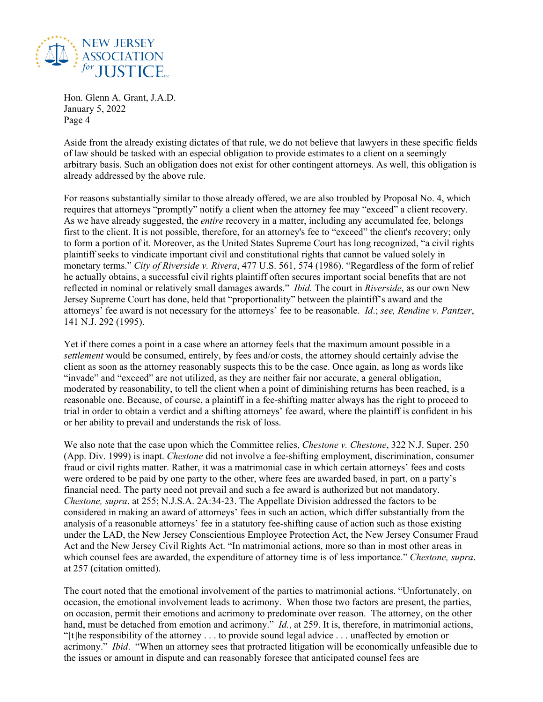

Aside from the already existing dictates of that rule, we do not believe that lawyers in these specific fields of law should be tasked with an especial obligation to provide estimates to a client on a seemingly arbitrary basis. Such an obligation does not exist for other contingent attorneys. As well, this obligation is already addressed by the above rule.

For reasons substantially similar to those already offered, we are also troubled by Proposal No. 4, which requires that attorneys "promptly" notify a client when the attorney fee may "exceed" a client recovery. As we have already suggested, the *entire* recovery in a matter, including any accumulated fee, belongs first to the client. It is not possible, therefore, for an attorney's fee to "exceed" the client's recovery; only to form a portion of it. Moreover, as the United States Supreme Court has long recognized, "a civil rights plaintiff seeks to vindicate important civil and constitutional rights that cannot be valued solely in monetary terms." *City of Riverside v. Rivera*, 477 U.S. 561, 574 (1986). "Regardless of the form of relief he actually obtains, a successful civil rights plaintiff often secures important social benefits that are not reflected in nominal or relatively small damages awards." *Ibid.* The court in *Riverside*, as our own New Jersey Supreme Court has done, held that "proportionality" between the plaintiff's award and the attorneys' fee award is not necessary for the attorneys' fee to be reasonable. *Id*.; *see, Rendine v. Pantzer*, 141 N.J. 292 (1995).

Yet if there comes a point in a case where an attorney feels that the maximum amount possible in a *settlement* would be consumed, entirely, by fees and/or costs, the attorney should certainly advise the client as soon as the attorney reasonably suspects this to be the case. Once again, as long as words like "invade" and "exceed" are not utilized, as they are neither fair nor accurate, a general obligation, moderated by reasonability, to tell the client when a point of diminishing returns has been reached, is a reasonable one. Because, of course, a plaintiff in a fee-shifting matter always has the right to proceed to trial in order to obtain a verdict and a shifting attorneys' fee award, where the plaintiff is confident in his or her ability to prevail and understands the risk of loss.

We also note that the case upon which the Committee relies, *Chestone v. Chestone*, 322 N.J. Super. 250 (App. Div. 1999) is inapt. *Chestone* did not involve a fee-shifting employment, discrimination, consumer fraud or civil rights matter. Rather, it was a matrimonial case in which certain attorneys' fees and costs were ordered to be paid by one party to the other, where fees are awarded based, in part, on a party's financial need. The party need not prevail and such a fee award is authorized but not mandatory. *Chestone, supra*. at 255; N.J.S.A. 2A:34-23. The Appellate Division addressed the factors to be considered in making an award of attorneys' fees in such an action, which differ substantially from the analysis of a reasonable attorneys' fee in a statutory fee-shifting cause of action such as those existing under the LAD, the New Jersey Conscientious Employee Protection Act, the New Jersey Consumer Fraud Act and the New Jersey Civil Rights Act. "In matrimonial actions, more so than in most other areas in which counsel fees are awarded, the expenditure of attorney time is of less importance." *Chestone, supra*. at 257 (citation omitted).

The court noted that the emotional involvement of the parties to matrimonial actions. "Unfortunately, on occasion, the emotional involvement leads to acrimony. When those two factors are present, the parties, on occasion, permit their emotions and acrimony to predominate over reason. The attorney, on the other hand, must be detached from emotion and acrimony." *Id.*, at 259. It is, therefore, in matrimonial actions, "[t]he responsibility of the attorney . . . to provide sound legal advice . . . unaffected by emotion or acrimony." *Ibid*. "When an attorney sees that protracted litigation will be economically unfeasible due to the issues or amount in dispute and can reasonably foresee that anticipated counsel fees are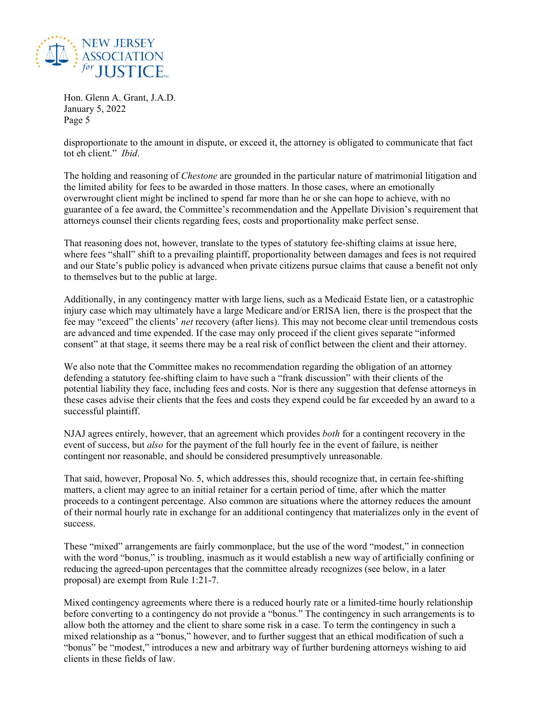

disproportionate to the amount in dispute, or exceed it, the attorney is obligated to communicate that fact tot eh client." *Ibid*.

The holding and reasoning of *Chestone* are grounded in the particular nature of matrimonial litigation and the limited ability for fees to be awarded in those matters. In those cases, where an emotionally overwrought client might be inclined to spend far more than he or she can hope to achieve, with no guarantee of a fee award, the Committee's recommendation and the Appellate Division's requirement that attorneys counsel their clients regarding fees, costs and proportionality make perfect sense.

That reasoning does not, however, translate to the types of statutory fee-shifting claims at issue here, where fees "shall" shift to a prevailing plaintiff, proportionality between damages and fees is not required and our State's public policy is advanced when private citizens pursue claims that cause a benefit not only to themselves but to the public at large.

Additionally, in any contingency matter with large liens, such as a Medicaid Estate lien, or a catastrophic injury case which may ultimately have a large Medicare and/or ERISA lien, there is the prospect that the fee may "exceed" the clients' *net* recovery (after liens). This may not become clear until tremendous costs are advanced and time expended. If the case may only proceed if the client gives separate "informed consent" at that stage, it seems there may be a real risk of conflict between the client and their attorney.

We also note that the Committee makes no recommendation regarding the obligation of an attorney defending a statutory fee-shifting claim to have such a "frank discussion" with their clients of the potential liability they face, including fees and costs. Nor is there any suggestion that defense attorneys in these cases advise their clients that the fees and costs they expend could be far exceeded by an award to a successful plaintiff.

NJAJ agrees entirely, however, that an agreement which provides *both* for a contingent recovery in the event of success, but *also* for the payment of the full hourly fee in the event of failure, is neither contingent nor reasonable, and should be considered presumptively unreasonable.

That said, however, Proposal No. 5, which addresses this, should recognize that, in certain fee-shifting matters, a client may agree to an initial retainer for a certain period of time, after which the matter proceeds to a contingent percentage. Also common are situations where the attorney reduces the amount of their normal hourly rate in exchange for an additional contingency that materializes only in the event of success.

These "mixed" arrangements are fairly commonplace, but the use of the word "modest," in connection with the word "bonus," is troubling, inasmuch as it would establish a new way of artificially confining or reducing the agreed-upon percentages that the committee already recognizes (see below, in a later proposal) are exempt from Rule 1:21-7.

Mixed contingency agreements where there is a reduced hourly rate or a limited-time hourly relationship before converting to a contingency do not provide a "bonus." The contingency in such arrangements is to allow both the attorney and the client to share some risk in a case. To term the contingency in such a mixed relationship as a "bonus," however, and to further suggest that an ethical modification of such a "bonus" be "modest," introduces a new and arbitrary way of further burdening attorneys wishing to aid clients in these fields of law.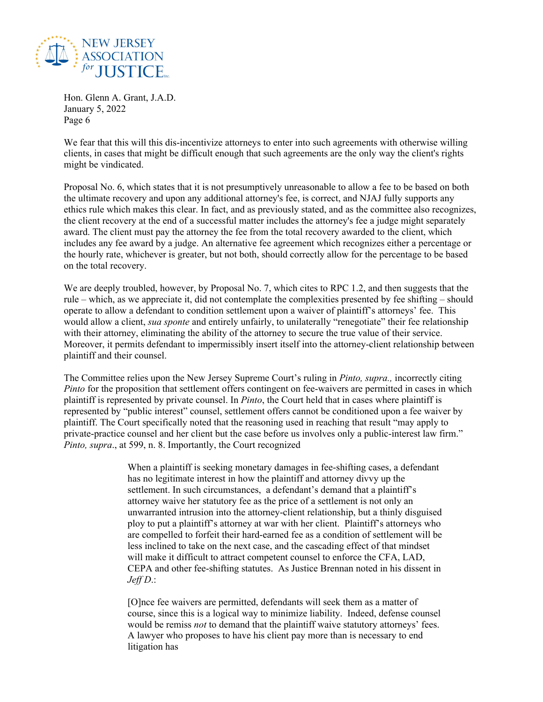

We fear that this will this dis-incentivize attorneys to enter into such agreements with otherwise willing clients, in cases that might be difficult enough that such agreements are the only way the client's rights might be vindicated.

Proposal No. 6, which states that it is not presumptively unreasonable to allow a fee to be based on both the ultimate recovery and upon any additional attorney's fee, is correct, and NJAJ fully supports any ethics rule which makes this clear. In fact, and as previously stated, and as the committee also recognizes, the client recovery at the end of a successful matter includes the attorney's fee a judge might separately award. The client must pay the attorney the fee from the total recovery awarded to the client, which includes any fee award by a judge. An alternative fee agreement which recognizes either a percentage or the hourly rate, whichever is greater, but not both, should correctly allow for the percentage to be based on the total recovery.

We are deeply troubled, however, by Proposal No. 7, which cites to RPC 1.2, and then suggests that the rule – which, as we appreciate it, did not contemplate the complexities presented by fee shifting – should operate to allow a defendant to condition settlement upon a waiver of plaintiff's attorneys' fee. This would allow a client, *sua sponte* and entirely unfairly, to unilaterally "renegotiate" their fee relationship with their attorney, eliminating the ability of the attorney to secure the true value of their service. Moreover, it permits defendant to impermissibly insert itself into the attorney-client relationship between plaintiff and their counsel.

The Committee relies upon the New Jersey Supreme Court's ruling in *Pinto, supra.,* incorrectly citing *Pinto* for the proposition that settlement offers contingent on fee-waivers are permitted in cases in which plaintiff is represented by private counsel. In *Pinto*, the Court held that in cases where plaintiff is represented by "public interest" counsel, settlement offers cannot be conditioned upon a fee waiver by plaintiff. The Court specifically noted that the reasoning used in reaching that result "may apply to private-practice counsel and her client but the case before us involves only a public-interest law firm." *Pinto, supra*., at 599, n. 8. Importantly, the Court recognized

> When a plaintiff is seeking monetary damages in fee-shifting cases, a defendant has no legitimate interest in how the plaintiff and attorney divvy up the settlement. In such circumstances, a defendant's demand that a plaintiff's attorney waive her statutory fee as the price of a settlement is not only an unwarranted intrusion into the attorney-client relationship, but a thinly disguised ploy to put a plaintiff's attorney at war with her client. Plaintiff's attorneys who are compelled to forfeit their hard-earned fee as a condition of settlement will be less inclined to take on the next case, and the cascading effect of that mindset will make it difficult to attract competent counsel to enforce the CFA, LAD, CEPA and other fee-shifting statutes. As Justice Brennan noted in his dissent in *Jeff D*.:

> [O]nce fee waivers are permitted, defendants will seek them as a matter of course, since this is a logical way to minimize liability. Indeed, defense counsel would be remiss *not* to demand that the plaintiff waive statutory attorneys' fees. A lawyer who proposes to have his client pay more than is necessary to end litigation has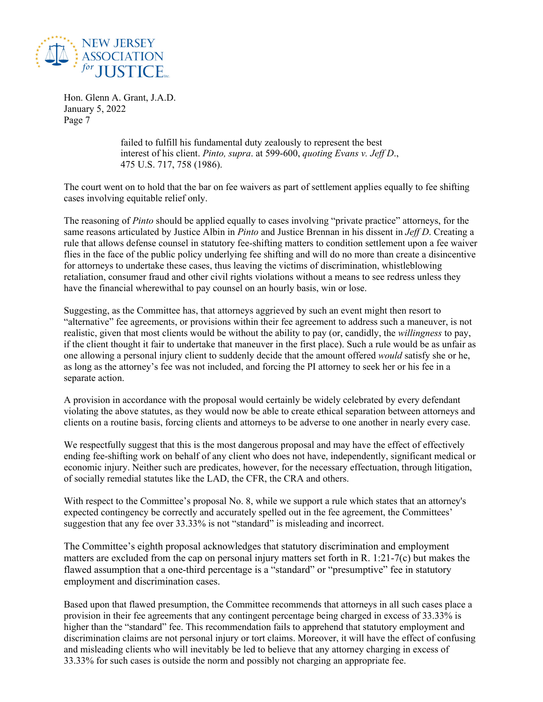

> failed to fulfill his fundamental duty zealously to represent the best interest of his client. *Pinto, supra*. at 599-600, *quoting Evans v. Jeff D*., 475 U.S. 717, 758 (1986).

The court went on to hold that the bar on fee waivers as part of settlement applies equally to fee shifting cases involving equitable relief only.

The reasoning of *Pinto* should be applied equally to cases involving "private practice" attorneys, for the same reasons articulated by Justice Albin in *Pinto* and Justice Brennan in his dissent in *Jeff D*. Creating a rule that allows defense counsel in statutory fee-shifting matters to condition settlement upon a fee waiver flies in the face of the public policy underlying fee shifting and will do no more than create a disincentive for attorneys to undertake these cases, thus leaving the victims of discrimination, whistleblowing retaliation, consumer fraud and other civil rights violations without a means to see redress unless they have the financial wherewithal to pay counsel on an hourly basis, win or lose.

Suggesting, as the Committee has, that attorneys aggrieved by such an event might then resort to "alternative" fee agreements, or provisions within their fee agreement to address such a maneuver, is not realistic, given that most clients would be without the ability to pay (or, candidly, the *willingness* to pay, if the client thought it fair to undertake that maneuver in the first place). Such a rule would be as unfair as one allowing a personal injury client to suddenly decide that the amount offered *would* satisfy she or he, as long as the attorney's fee was not included, and forcing the PI attorney to seek her or his fee in a separate action.

A provision in accordance with the proposal would certainly be widely celebrated by every defendant violating the above statutes, as they would now be able to create ethical separation between attorneys and clients on a routine basis, forcing clients and attorneys to be adverse to one another in nearly every case.

We respectfully suggest that this is the most dangerous proposal and may have the effect of effectively ending fee-shifting work on behalf of any client who does not have, independently, significant medical or economic injury. Neither such are predicates, however, for the necessary effectuation, through litigation, of socially remedial statutes like the LAD, the CFR, the CRA and others.

With respect to the Committee's proposal No. 8, while we support a rule which states that an attorney's expected contingency be correctly and accurately spelled out in the fee agreement, the Committees' suggestion that any fee over 33.33% is not "standard" is misleading and incorrect.

The Committee's eighth proposal acknowledges that statutory discrimination and employment matters are excluded from the cap on personal injury matters set forth in R. 1:21-7(c) but makes the flawed assumption that a one-third percentage is a "standard" or "presumptive" fee in statutory employment and discrimination cases.

Based upon that flawed presumption, the Committee recommends that attorneys in all such cases place a provision in their fee agreements that any contingent percentage being charged in excess of 33.33% is higher than the "standard" fee. This recommendation fails to apprehend that statutory employment and discrimination claims are not personal injury or tort claims. Moreover, it will have the effect of confusing and misleading clients who will inevitably be led to believe that any attorney charging in excess of 33.33% for such cases is outside the norm and possibly not charging an appropriate fee.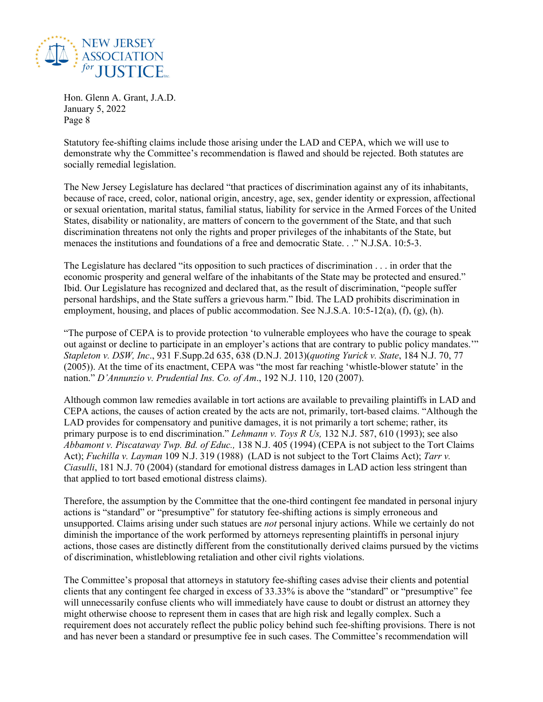

Statutory fee-shifting claims include those arising under the LAD and CEPA, which we will use to demonstrate why the Committee's recommendation is flawed and should be rejected. Both statutes are socially remedial legislation.

The New Jersey Legislature has declared "that practices of discrimination against any of its inhabitants, because of race, creed, color, national origin, ancestry, age, sex, gender identity or expression, affectional or sexual orientation, marital status, familial status, liability for service in the Armed Forces of the United States, disability or nationality, are matters of concern to the government of the State, and that such discrimination threatens not only the rights and proper privileges of the inhabitants of the State, but menaces the institutions and foundations of a free and democratic State. . ." N.J.SA. 10:5-3.

The Legislature has declared "its opposition to such practices of discrimination . . . in order that the economic prosperity and general welfare of the inhabitants of the State may be protected and ensured." Ibid. Our Legislature has recognized and declared that, as the result of discrimination, "people suffer personal hardships, and the State suffers a grievous harm." Ibid. The LAD prohibits discrimination in employment, housing, and places of public accommodation. See N.J.S.A. 10:5-12(a), (f), (g), (h).

"The purpose of CEPA is to provide protection 'to vulnerable employees who have the courage to speak out against or decline to participate in an employer's actions that are contrary to public policy mandates.'" *Stapleton v. DSW, Inc*., 931 F.Supp.2d 635, 638 (D.N.J. 2013)(*quoting Yurick v. State*, 184 N.J. 70, 77 (2005)). At the time of its enactment, CEPA was "the most far reaching 'whistle-blower statute' in the nation." *D'Annunzio v. Prudential Ins. Co. of Am*., 192 N.J. 110, 120 (2007).

Although common law remedies available in tort actions are available to prevailing plaintiffs in LAD and CEPA actions, the causes of action created by the acts are not, primarily, tort-based claims. "Although the LAD provides for compensatory and punitive damages, it is not primarily a tort scheme; rather, its primary purpose is to end discrimination." *Lehmann v. Toys R Us,* 132 N.J. 587, 610 (1993); see also *Abbamont v. Piscataway Twp. Bd. of Educ.,* 138 N.J. 405 (1994) (CEPA is not subject to the Tort Claims Act); *Fuchilla v. Layman* 109 N.J. 319 (1988) (LAD is not subject to the Tort Claims Act); *Tarr v. Ciasulli*, 181 N.J. 70 (2004) (standard for emotional distress damages in LAD action less stringent than that applied to tort based emotional distress claims).

Therefore, the assumption by the Committee that the one-third contingent fee mandated in personal injury actions is "standard" or "presumptive" for statutory fee-shifting actions is simply erroneous and unsupported. Claims arising under such statues are *not* personal injury actions. While we certainly do not diminish the importance of the work performed by attorneys representing plaintiffs in personal injury actions, those cases are distinctly different from the constitutionally derived claims pursued by the victims of discrimination, whistleblowing retaliation and other civil rights violations.

The Committee's proposal that attorneys in statutory fee-shifting cases advise their clients and potential clients that any contingent fee charged in excess of 33.33% is above the "standard" or "presumptive" fee will unnecessarily confuse clients who will immediately have cause to doubt or distrust an attorney they might otherwise choose to represent them in cases that are high risk and legally complex. Such a requirement does not accurately reflect the public policy behind such fee-shifting provisions. There is not and has never been a standard or presumptive fee in such cases. The Committee's recommendation will